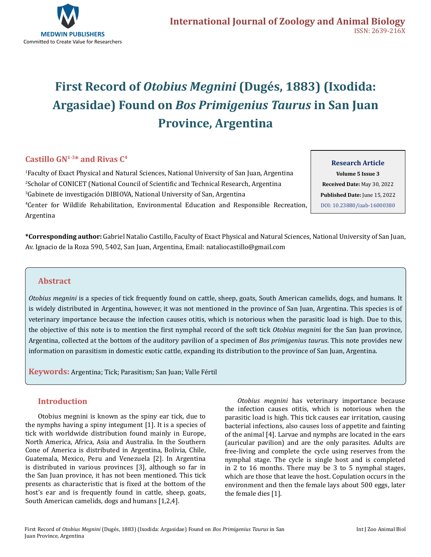

# **First Record of** *Otobius Megnini* **(Dugés, 1883) (Ixodida: Argasidae) Found on** *Bos Primigenius Taurus* **in San Juan Province, Argentina**

## **Castillo GN1-3\* and Rivas C4**

 Faculty of Exact Physical and Natural Sciences, National University of San Juan, Argentina Scholar of CONICET (National Council of Scientific and Technical Research, Argentina Gabinete de investigación DIBIOVA, National University of San, Argentina Center for Wildlife Rehabilitation, Environmental Education and Responsible Recreation, Argentina

**Research Article Volume 5 Issue 3 Received Date:** May 30, 2022 **Published Date:** June 15, 2022 [DOI: 10.23880/izab-16000380](https://doi.org/10.23880/izab-16000380)

**\*Corresponding author:** Gabriel Natalio Castillo, Faculty of Exact Physical and Natural Sciences, National University of San Juan, Av. Ignacio de la Roza 590, 5402, San Juan, Argentina, Email: nataliocastillo@gmail.com

## **Abstract**

*Otobius megnini* is a species of tick frequently found on cattle, sheep, goats, South American camelids, dogs, and humans. It is widely distributed in Argentina, however, it was not mentioned in the province of San Juan, Argentina. This species is of veterinary importance because the infection causes otitis, which is notorious when the parasitic load is high. Due to this, the objective of this note is to mention the first nymphal record of the soft tick *Otobius megnin*i for the San Juan province, Argentina, collected at the bottom of the auditory pavilion of a specimen of *Bos primigenius taurus*. This note provides new information on parasitism in domestic exotic cattle, expanding its distribution to the province of San Juan, Argentina.

**Keywords:** Argentina; Tick; Parasitism; San Juan; Valle Fértil

#### **Introduction**

Otobius megnini is known as the spiny ear tick, due to the nymphs having a spiny integument [1]. It is a species of tick with worldwide distribution found mainly in Europe, North America, Africa, Asia and Australia. In the Southern Cone of America is distributed in Argentina, Bolivia, Chile, Guatemala, Mexico, Peru and Venezuela [2]. In Argentina is distributed in various provinces [3], although so far in the San Juan province, it has not been mentioned. This tick presents as characteristic that is fixed at the bottom of the host's ear and is frequently found in cattle, sheep, goats, South American camelids, dogs and humans [1,2,4].

*Otobius megnini* has veterinary importance because the infection causes otitis, which is notorious when the parasitic load is high. This tick causes ear irritation, causing bacterial infections, also causes loss of appetite and fainting of the animal [4]. Larvae and nymphs are located in the ears (auricular pavilion) and are the only parasites. Adults are free-living and complete the cycle using reserves from the nymphal stage. The cycle is single host and is completed in 2 to 16 months. There may be 3 to 5 nymphal stages, which are those that leave the host. Copulation occurs in the environment and then the female lays about 500 eggs, later the female dies [1].